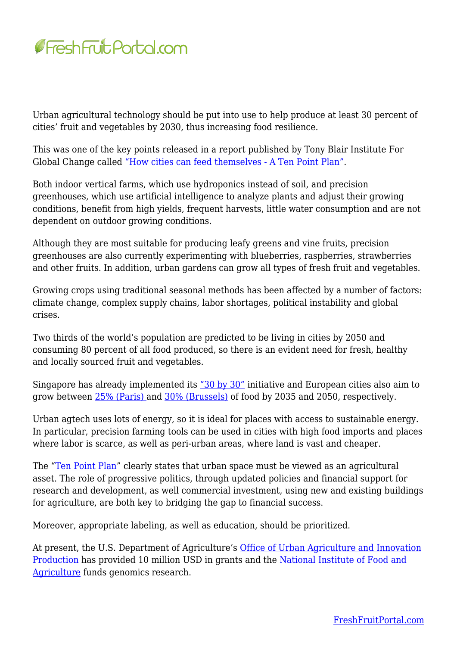

Urban agricultural technology should be put into use to help produce at least 30 percent of cities' fruit and vegetables by 2030, thus increasing food resilience.

This was one of the key points released in a report published by Tony Blair Institute For Global Change called ["How cities can feed themselves - A Ten Point Plan"](https://institute.global/policy/how-cities-can-feed-themselves-ten-point-plan).

Both indoor vertical farms, which use hydroponics instead of soil, and precision greenhouses, which use artificial intelligence to analyze plants and adjust their growing conditions, benefit from high yields, frequent harvests, little water consumption and are not dependent on outdoor growing conditions.

Although they are most suitable for producing leafy greens and vine fruits, precision greenhouses are also currently experimenting with blueberries, raspberries, strawberries and other fruits. In addition, urban gardens can grow all types of fresh fruit and vegetables.

Growing crops using traditional seasonal methods has been affected by a number of factors: climate change, complex supply chains, labor shortages, political instability and global crises.

Two thirds of the world's population are predicted to be living in cities by 2050 and consuming 80 percent of all food produced, so there is an evident need for fresh, healthy and locally sourced fruit and vegetables.

Singapore has already implemented its ["30 by 30"](https://www.ourfoodfuture.gov.sg/30by30) initiative and European cities also aim to grow between [25% \(Paris\) a](https://www.c40.org/what-we-do/scaling-up-climate-action/adaptation-water/the-future-we-dont-want/food-security/)nd [30% \(Brussels\)](https://document.environnement.brussels/opac_css/elecfile/BRO_GoodFood_Strategy_ENGL.pdf) of food by 2035 and 2050, respectively.

Urban agtech uses lots of energy, so it is ideal for places with access to sustainable energy. In particular, precision farming tools can be used in cities with high food imports and places where labor is scarce, as well as peri-urban areas, where land is vast and cheaper.

The ["Ten Point Plan](https://institute.global/policy/how-cities-can-feed-themselves-ten-point-plan)" clearly states that urban space must be viewed as an agricultural asset. The role of progressive politics, through updated policies and financial support for research and development, as well commercial investment, using new and existing buildings for agriculture, are both key to bridging the gap to financial success.

Moreover, appropriate labeling, as well as education, should be prioritized.

At present, the U.S. Department of Agriculture's [Office of Urban Agriculture and Innovation](https://www.nrcs.usda.gov/wps/portal/nrcs/detail/national/newsroom/releases/?cid=NRCSEPRD1833032) [Production](https://www.nrcs.usda.gov/wps/portal/nrcs/detail/national/newsroom/releases/?cid=NRCSEPRD1833032) has provided 10 million USD in grants and the [National Institute of Food and](https://www.nifa.usda.gov/grants/programs/plant-breeding-genetics-genomics-programs) [Agriculture](https://www.nifa.usda.gov/grants/programs/plant-breeding-genetics-genomics-programs) funds genomics research.